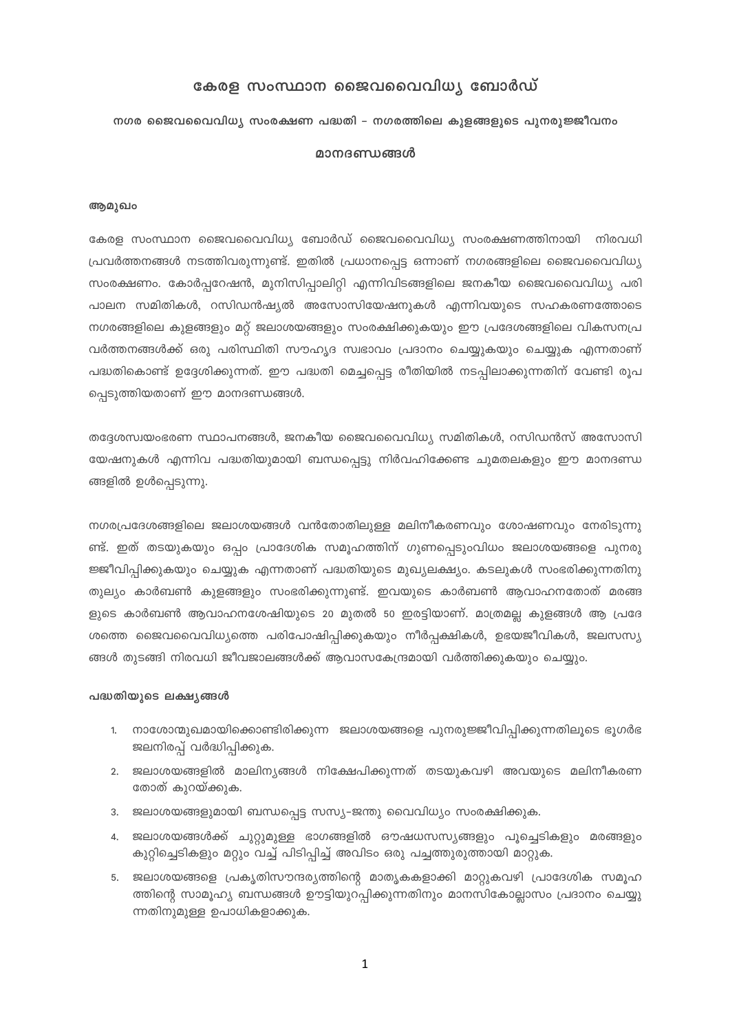#### കേരള സംസ്ഥാന ജൈവവൈവിധ്യ ബോർഡ്

#### നഗര ജൈവവൈവിധ്യ സംരക്ഷണ പദ്ധതി – നഗരത്തിലെ കുളങ്ങളുടെ പുനരുജ്ജീവനം

#### മാനദണ്ഡങ്ങൾ

#### ആമുഖം

കേരള സംസ്ഥാന ജൈവവൈവിധ്യ ബോർഡ് ജൈവവൈവിധ്യ സംരക്ഷണത്തിനായി നിരവധി പ്രവർത്തനങ്ങൾ നടത്തിവരുന്നുണ്ട്. ഇതിൽ പ്രധാനപ്പെട്ട ഒന്നാണ് നഗരങ്ങളിലെ ജൈവവൈവിധ്യ സംരക്ഷണം. കോർപ്പറേഷൻ, മുനിസിപ്പാലിറ്റി എന്നിവിടങ്ങളിലെ ജനകീയ ജൈവവൈവിധ്യ പരി പാലന സമിതികൾ, റസിഡൻഷ്യൽ അസോസിയേഷനുകൾ എന്നിവയുടെ സഹകരണത്തോടെ നഗരങ്ങളിലെ കുളങ്ങളും മറ്റ് ജലാശയങ്ങളും സംരക്ഷിക്കുകയും ഈ പ്രദേശങ്ങളിലെ വികസനപ്ര വർത്തനങ്ങൾക്ക് ഒരു പരിസ്ഥിതി സൗഹൃദ സ്വഭാവം പ്രദാനം ചെയ്യുകയും ചെയ്യുക എന്നതാണ് പദ്ധതികൊണ്ട് ഉദ്ദേശിക്കുന്നത്. ഈ പദ്ധതി മെച്ചപ്പെട്ട രീതിയിൽ നടപ്പിലാക്കുന്നതിന് വേണ്ടി രൂപ പ്പെടുത്തിയതാണ് ഈ മാനദണ്ഡങ്ങൾ.

തദ്ദേശസ്വയംഭരണ സ്ഥാപനങ്ങൾ, ജനകീയ ജൈവവൈവിധ്യ സമിതികൾ, റസിഡൻസ് അസോസി യേഷനുകൾ എന്നിവ പദ്ധതിയുമായി ബന്ധപ്പെട്ടു നിർവഹിക്കേണ്ട ചുമതലകളും ഈ മാനദണ്ഡ ങ്ങളിൽ ഉൾപ്പെടുന്നു.

നഗരപ്രദേശങ്ങളിലെ ജലാശയങ്ങൾ വൻതോതിലുള്ള മലിനീകരണവും ശോഷണവും നേരിടുന്നു ണ്ട്. ഇത് തടയുകയും ഒപ്പം പ്രാദേശിക സമൂഹത്തിന് ഗുണപ്പെടുംവിധം ജലാശയങ്ങളെ പുനരു ജ്ജീവിപ്പിക്കുകയും ചെയ്യുക എന്നതാണ് പദ്ധതിയുടെ മുഖ്യലക്ഷ്യം. കടലുകൾ സംഭരിക്കുന്നതിനു തുല്യം കാർബൺ കുളങ്ങളും സംഭരിക്കുന്നുണ്ട്. ഇവയുടെ കാർബൺ ആവാഹനതോത് മരങ്ങ ളുടെ കാർബൺ ആവാഹനശേഷിയുടെ 20 മുതൽ 50 ഇരട്ടിയാണ്. മാത്രമല്ല കുളങ്ങൾ ആ പ്രദേ ശത്തെ ജൈവവൈവിധ്യത്തെ പരിപോഷിപ്പിക്കുകയും നീർപ്പക്ഷികൾ, ഉഭയജീവികൾ, ജലസസ്യ ങ്ങൾ തുടങ്ങി നിരവധി ജീവജാലങ്ങൾക്ക് ആവാസകേന്ദ്രമായി വർത്തിക്കുകയും ചെയ്യും.

#### പദ്ധതിയുടെ ലക്ഷ്യങ്ങൾ

- 1. നാശോന്മുഖമായിക്കൊണ്ടിരിക്കുന്ന ജലാശയങ്ങളെ പുനരുജ്ജീവിപ്പിക്കുന്നതിലൂടെ ഭൂഗർഭ ജലനിരപ്പ് വർദ്ധിപ്പിക്കുക.
- 2. ജലാശയങ്ങളിൽ മാലിന്യങ്ങൾ നിക്ഷേപിക്കുന്നത് തടയുകവഴി അവയുടെ മലിനീകരണ തോത് കുറയ്ക്കുക.
- 3. ജലാശയങ്ങളുമായി ബന്ധപ്പെട്ട സസ്യ–ജന്തു വൈവിധ്യം സംരക്ഷിക്കുക.
- 4. ജലാശയങ്ങൾക്ക് ചുറ്റുമുള്ള ഭാഗങ്ങളിൽ ഔഷധസസ്യങ്ങളും പൂച്ചെടികളും മരങ്ങളും കുറ്റിച്ചെടികളും മറ്റും വച്ച് പിടിപ്പിച്ച് അവിടം ഒരു പച്ചത്തുരുത്തായി മാറ്റുക.
- 5. ജലാശയങ്ങളെ പ്രകൃതിസൗന്ദര്യത്തിന്റെ മാതൃകകളാക്കി മാറ്റുകവഴി പ്രാദേശിക സമൂഹ ത്തിന്റെ സാമൂഹ്യ ബന്ധങ്ങൾ ഊട്ടിയുറപ്പിക്കുന്നതിനും മാനസികോല്ലാസം പ്രദാനം ചെയ്യു ന്നതിനുമുള്ള ഉപാധികളാക്കുക.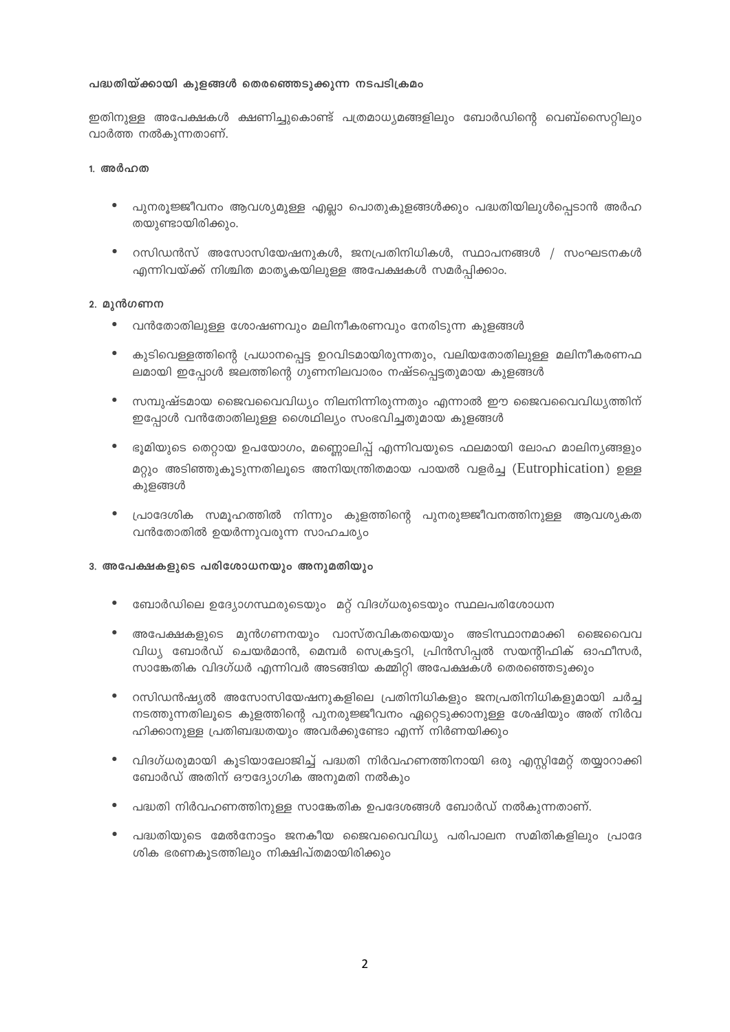#### പദ്ധതിയ്ക്കായി കുളങ്ങൾ തെരഞ്ഞെടുക്കുന്ന നടപടിക്രമം

ഇതിനുള്ള അപേക്ഷകൾ ക്ഷണിച്ചുകൊണ്ട് പത്രമാധ്യമങ്ങളിലും ബോർഡിന്റെ വെബ്സൈറ്റിലും വാർത്ത നൽകുന്നതാണ്.

#### 1. അർഹത

- പുനരൂജ്ജീവനം ആവശ്യമുള്ള എല്ലാ പൊതുകുളങ്ങൾക്കും പദ്ധതിയിലുൾപ്പെടാൻ അർഹ തയുണ്ടായിരിക്കും.
- $\bullet$ റസിഡൻസ് അസോസിയേഷനുകൾ, ജനപ്രതിനിധികൾ, സ്ഥാപനങ്ങൾ / സംഘടനകൾ എന്നിവയ്ക്ക് നിശ്ചിത മാതൃകയിലുള്ള അപേക്ഷകൾ സമർപ്പിക്കാം.

#### 2. മുൻഗണന

- $\bullet$  വൻതോതിലുള്ള ശോഷണവും മലിനീകരണവും നേരിടുന്ന കുളങ്ങൾ
- കുടിവെള്ളത്തിന്റെ പ്രധാനപ്പെട്ട ഉറവിടമായിരുന്നതും, വലിയതോതിലുള്ള മലിനീകരണഫ  $\bullet$ ലമായി ഇപ്പോൾ ജലത്തിന്റെ ഗുണനിലവാരം നഷ്ടപ്പെട്ടതുമായ കുളങ്ങൾ
- $\bullet$ സമ്പുഷ്ടമായ ജൈവവൈവിധ്യം നിലനിന്നിരുന്നതും എന്നാൽ ഈ ജൈവവൈവിധ്യത്തിന് ഇപ്പോൾ വൻതോതിലുള്ള ശൈഥില്യം സംഭവിച്ചതുമായ കുളങ്ങൾ
- ഭൂമിയുടെ തെറ്റായ ഉപയോഗം, മണ്ണൊലിപ്പ് എന്നിവയുടെ ഫലമായി ലോഹ മാലിന്യങ്ങളും മറ്റും അടിഞ്ഞുകൂടുന്നതിലൂടെ അനിയന്ത്രിതമായ പായൽ വളർച്ച (Eutrophication) ഉള്ള കുളങ്ങൾ
- പ്രാദേശിക സമൂഹത്തിൽ നിന്നും കുളത്തിന്റെ പുനരുജ്ജീവനത്തിനുള്ള ആവശ്യകത വൻതോതിൽ ഉയർന്നുവരുന്ന സാഹചര്യം

#### 3. അപേക്ഷകളുടെ പരിശോധനയും അനുമതിയും

- ബോർഡിലെ ഉദ്യോഗസ്ഥരുടെയും മറ്റ് വിദഗ്ധരുടെയും സ്ഥലപരിശോധന
- അപേക്ഷകളുടെ മുൻഗണനയും വാസ്തവികതയെയും അടിസ്ഥാനമാക്കി ജൈവൈവ വിധ്യ ബോർഡ് ചെയർമാൻ, മെമ്പർ സെക്രട്ടറി, പ്രിൻസിപ്പൽ സയന്റിഫിക് ഓഫീസർ, സാങ്കേതിക വിദഗ്ധർ എന്നിവർ അടങ്ങിയ കമ്മിറ്റി അപേക്ഷകൾ തെരഞ്ഞെടുക്കും
- റസിഡൻഷ്യൽ അസോസിയേഷനുകളിലെ പ്രതിനിധികളും ജനപ്രതിനിധികളുമായി ചർച്ച  $\bullet$ നടത്തുന്നതിലൂടെ കുളത്തിന്റെ പുനരുജ്ജീവനം ഏറ്റെടുക്കാനുള്ള ശേഷിയും അത് നിർവ ഹിക്കാനുള്ള പ്രതിബദ്ധതയും അവർക്കുണ്ടോ എന്ന് നിർണയിക്കും
- വിദഗ്ധരുമായി കൂടിയാലോജിച്ച് പദ്ധതി നിർവഹണത്തിനായി ഒരു എസ്റ്റിമേറ്റ് തയ്യാറാക്കി  $\bullet$ ബോർഡ് അതിന് ഔദ്യോഗിക അനുമതി നൽകും
- പദ്ധതി നിർവഹണത്തിനുള്ള സാങ്കേതിക ഉപദേശങ്ങൾ ബോർഡ് നൽകുന്നതാണ്.  $\bullet$
- പദ്ധതിയുടെ മേൽനോട്ടം ജനകീയ ജൈവവൈവിധ്യ പരിപാലന സമിതികളിലും പ്രാദേ ശിക ഭരണകൂടത്തിലും നിക്ഷിപ്തമായിരിക്കും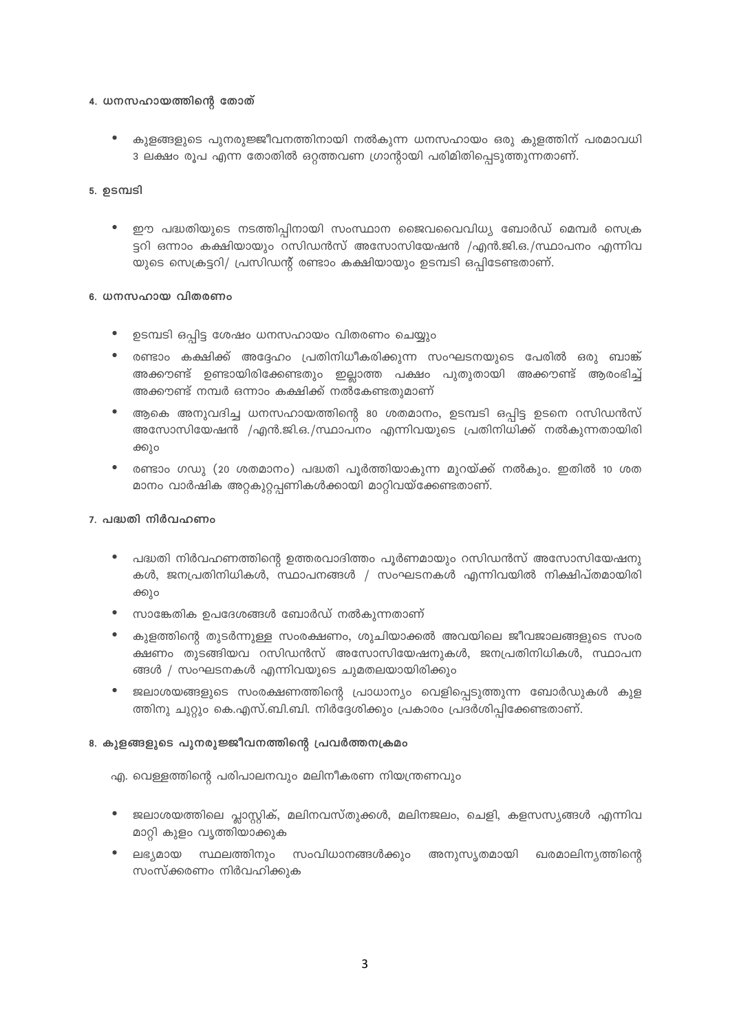#### 4. ധനസഹായത്തിന്റെ തോത്

കുളങ്ങളുടെ പുനരുജ്ജീവനത്തിനായി നൽകുന്ന ധനസഹായം ഒരു കുളത്തിന് പരമാവധി 3 ലക്ഷം രൂപ എന്ന തോതിൽ ഒറ്റത്തവണ ഗ്രാന്റായി പരിമിതിപ്പെടുത്തുന്നതാണ്.

## <u>5.</u> ഉടമ്പടി

 $\bullet$ ഈ പദ്ധതിയുടെ നടത്തിപ്പിനായി സംസ്ഥാന ജൈവവൈവിധ്യ ബോർഡ് മെമ്പർ സെക്ര ട്ടറി ഒന്നാം കക്ഷിയായും റസിഡൻസ് അസോസിയേഷൻ /എൻ.ജി.ഒ./സ്ഥാപനം എന്നിവ യുടെ സെക്രട്ടറി/ പ്രസിഡന്റ് രണ്ടാം കക്ഷിയായും ഉടമ്പടി ഒപ്പിടേണ്ടതാണ്.

## 6. ധനസഹായ വിതരണം

- $\bullet$ ഉടമ്പടി ഒപ്പിട്ട ശേഷം ധനസഹായം വിതരണം ചെയ്യും
- രണ്ടാം കക്ഷിക്ക് അദ്ദേഹം പ്രതിനിധീകരിക്കുന്ന സംഘടനയുടെ പേരിൽ ഒരു ബാങ്ക്  $\bullet$ അക്കൗണ്ട് ഉണ്ടായിരിക്കേണ്ടതും ഇല്ലാത്ത പക്ഷം പുതുതായി അക്കൗണ്ട് ആരംഭിച്ച് അക്കൗണ്ട് നമ്പർ ഒന്നാം കക്ഷിക്ക് നൽകേണ്ടതുമാണ്
- ആകെ അനുവദിച്ച ധനസഹായത്തിന്റെ 80 ശതമാനം, ഉടമ്പടി ഒപ്പിട്ട ഉടനെ റസിഡൻസ് അസോസിയേഷൻ /എൻ.ജി.ഒ./സ്ഥാപനം എന്നിവയുടെ പ്രതിനിധിക്ക് നൽകുന്നതായിരി ക്കും
- രണ്ടാം ഗഡു (20 ശതമാനം) പദ്ധതി പൂർത്തിയാകുന്ന മുറയ്ക്ക് നൽകും. ഇതിൽ 10 ശത മാനം വാർഷിക അറ്റകുറ്റപ്പണികൾക്കായി മാറ്റിവയ്ക്കേണ്ടതാണ്.

## 7. പദ്ധതി നിർവഹണം

- പദ്ധതി നിർവഹണത്തിന്റെ ഉത്തരവാദിത്തം പൂർണമായും റസിഡൻസ് അസോസിയേഷനു  $\bullet$ കൾ, ജനപ്രതിനിധികൾ, സ്ഥാപനങ്ങൾ / സംഘടനകൾ എന്നിവയിൽ നിക്ഷിപ്തമായിരി ക്കും
- സാങ്കേതിക ഉപദേശങ്ങൾ ബോർഡ് നൽകുന്നതാണ്  $\bullet$
- കുളത്തിന്റെ തുടർന്നുള്ള സംരക്ഷണം, ശുചിയാക്കൽ അവയിലെ ജീവജാലങ്ങളുടെ സംര ക്ഷണം തുടങ്ങിയവ റസിഡൻസ് അസോസിയേഷനുകൾ, ജനപ്രതിനിധികൾ, സ്ഥാപന ങ്ങൾ / സംഘടനകൾ എന്നിവയുടെ ചുമതലയായിരിക്കും
- ജലാശയങ്ങളുടെ സംരക്ഷണത്തിന്റെ പ്രാധാന്യം വെളിപ്പെടുത്തുന്ന ബോർഡുകൾ കുള ത്തിനു ചുറ്റും കെ.എസ്.ബി.ബി. നിർദ്ദേശിക്കും പ്രകാരം പ്രദർശിപ്പിക്കേണ്ടതാണ്.

## 8. കുളങ്ങളുടെ പുനരുജ്ജീവനത്തിന്റെ പ്രവർത്തനക്രമം

എ. വെള്ളത്തിന്റെ പരിപാലനവും മലിനീകരണ നിയന്ത്രണവും

- ജലാശയത്തിലെ പ്ലാസ്റ്റിക്, മലിനവസ്തുക്കൾ, മലിനജലം, ചെളി, കളസസ്യങ്ങൾ എന്നിവ മാറ്റി കുളം വൃത്തിയാക്കുക
- സ്ഥലത്തിനും സംവിധാനങ്ങൾക്കും അനുസൃതമായി ഖരമാലിന്യത്തിന്റെ ലഭ്യമായ സംസ്ക്കരണം നിർവഹിക്കുക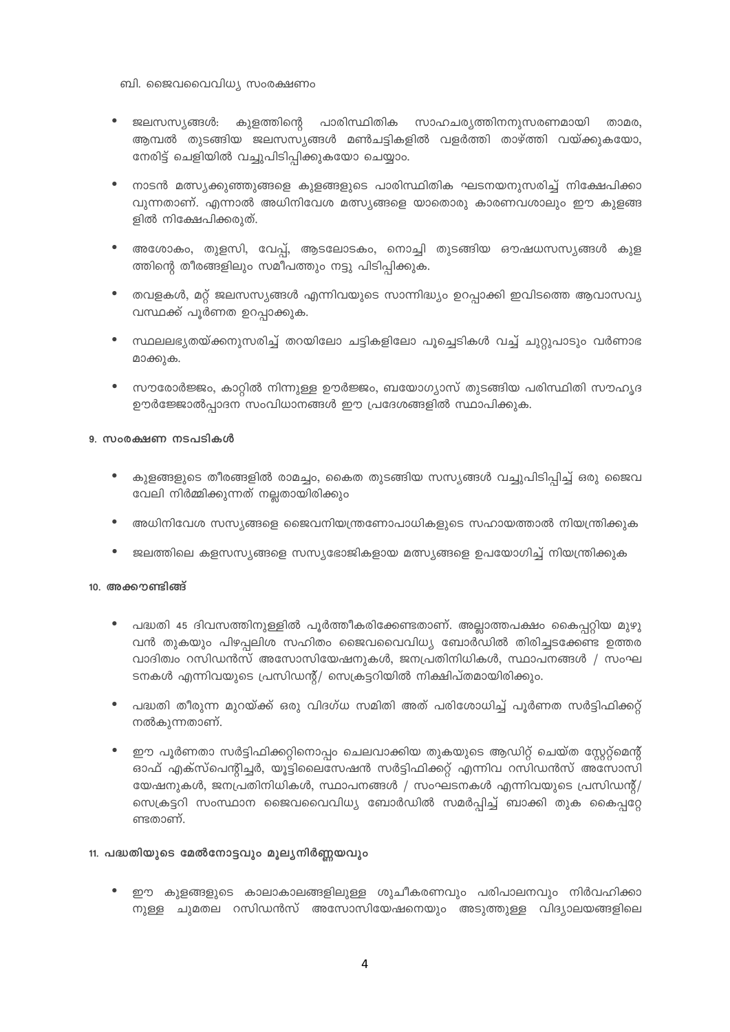ബി. ജൈവവൈവിധ്യ സംരക്ഷണം

- കുളത്തിന്റെ പാരിസ്ഥിതിക സാഹചര്യത്തിനനുസരണമായി താമര, ജലസസ്യങ്ങൾ: ആമ്പൽ തുടങ്ങിയ ജലസസ്യങ്ങൾ മൺചട്ടികളിൽ വളർത്തി താഴ്ത്തി വയ്ക്കുകയോ, നേരിട്ട് ചെളിയിൽ വച്ചുപിടിപ്പിക്കുകയോ ചെയ്യാം.
- നാടൻ മത്സ്യക്കുഞ്ഞുങ്ങളെ കുളങ്ങളുടെ പാരിസ്ഥിതിക ഘടനയനുസരിച്ച് നിക്ഷേപിക്കാ വുന്നതാണ്. എന്നാൽ അധിനിവേശ മത്സ്യങ്ങളെ യാതൊരു കാരണവശാലും ഈ കുളങ്ങ ളിൽ നിക്ഷേപിക്കരുത്.
- അശോകം, തുളസി, വേപ്പ്, ആടലോടകം, നൊച്ചി തുടങ്ങിയ ഔഷധസസ്യങ്ങൾ കുള  $\bullet$ ത്തിന്റെ തീരങ്ങളിലും സമീപത്തും നട്ടു പിടിപ്പിക്കുക.
- തവളകൾ, മറ്റ് ജലസസ്യങ്ങൾ എന്നിവയുടെ സാന്നിദ്ധ്യം ഉറപ്പാക്കി ഇവിടത്തെ ആവാസവ്യ വസ്ഥക്ക് പൂർണത ഉറപ്പാക്കുക.
- സ്ഥലലഭ്യതയ്ക്കനുസരിച്ച് തറയിലോ ചട്ടികളിലോ പൂച്ചെടികൾ വച്ച് ചുറ്റുപാടും വർണാഭ മാക്കുക.
- സൗരോർജ്ജം, കാറ്റിൽ നിന്നുള്ള ഊർജ്ജം, ബയോഗ്യാസ് തുടങ്ങിയ പരിസ്ഥിതി സൗഹൃദ  $\bullet$ ഊർജ്ജോൽപ്പാദന സംവിധാനങ്ങൾ ഈ പ്രദേശങ്ങളിൽ സ്ഥാപിക്കുക.

#### 9. സംരക്ഷണ നടപടികൾ

- $\bullet$ കുളങ്ങളുടെ തീരങ്ങളിൽ രാമച്ചം, കൈത തുടങ്ങിയ സസ്യങ്ങൾ വച്ചുപിടിപിച്ച് ഒരു ജൈവ വേലി നിർമ്മിക്കുന്നത് നല്ലതായിരിക്കും
- അധിനിവേശ സസ്യങ്ങളെ ജൈവനിയന്ത്രണോപാധികളുടെ സഹായത്താൽ നിയന്ത്രിക്കുക
- ജലത്തിലെ കളസസ്യങ്ങളെ സസ്യഭോജികളായ മത്സ്യങ്ങളെ ഉപയോഗിച്ച് നിയന്ത്രിക്കുക  $\bullet$

#### $10.$  അക്കൗണ്ടിങ്ങ്

- $\bullet$ പദ്ധതി 45 ദിവസത്തിനുള്ളിൽ പൂർത്തീകരിക്കേണ്ടതാണ്. അല്ലാത്തപക്ഷം കൈപ്പറ്റിയ മുഴു വൻ തുകയും പിഴപ്പലിശ സഹിതം ജൈവവൈവിധ്യ ബോർഡിൽ തിരിച്ചടക്കേണ്ട ഉത്തര വാദിത്വം റസിഡൻസ് അസോസിയേഷനുകൾ, ജനപ്രതിനിധികൾ, സ്ഥാപനങ്ങൾ / സംഘ ടനകൾ എന്നിവയുടെ പ്രസിഡന്റ്/ സെക്രട്ടറിയിൽ നിക്ഷിപ്തമായിരിക്കും.
- പദ്ധതി തീരുന്ന മുറയ്ക്ക് ഒരു വിദഗ്ധ സമിതി അത് പരിശോധിച്ച് പുർണത സർട്ടിഫിക്കറ്റ് നൽകൂന്നതാണ്.
- ഈ പൂർണതാ സർട്ടിഫിക്കറ്റിനൊപ്പം ചെലവാക്കിയ തുകയുടെ ആഡിറ്റ് ചെയ്ത സ്റ്റേറ്റ്മെന്റ് ഓഫ് എക്സ്പെന്റിച്ചർ, യൂട്ടിലൈസേഷൻ സർട്ടിഫിക്കറ്റ് എന്നിവ റസിഡൻസ് അസോസി യേഷനുകൾ, ജനപ്രതിനിധികൾ, സ്ഥാപനങ്ങൾ / സംഘടനകൾ എന്നിവയുടെ പ്രസിഡന്റ്/ സെക്രട്ടറി സംസ്ഥാന ജൈവവൈവിധ്യ ബോർഡിൽ സമർപ്പിച്ച് ബാക്കി തുക കൈപ്പറ്റേ ണ്ടതാണ്.

#### 11. പദ്ധതിയുടെ മേൽനോട്ടവും മൂല്യനിർണ്ണയവും

ഈ കുളങ്ങളുടെ കാലാകാലങ്ങളിലുള്ള ശുചീകരണവും പരിപാലനവും നിർവഹിക്കാ നുള്ള ചുമതല റസിഡൻസ് അസോസിയേഷനെയും അടുത്തുള്ള വിദ്യാലയങ്ങളിലെ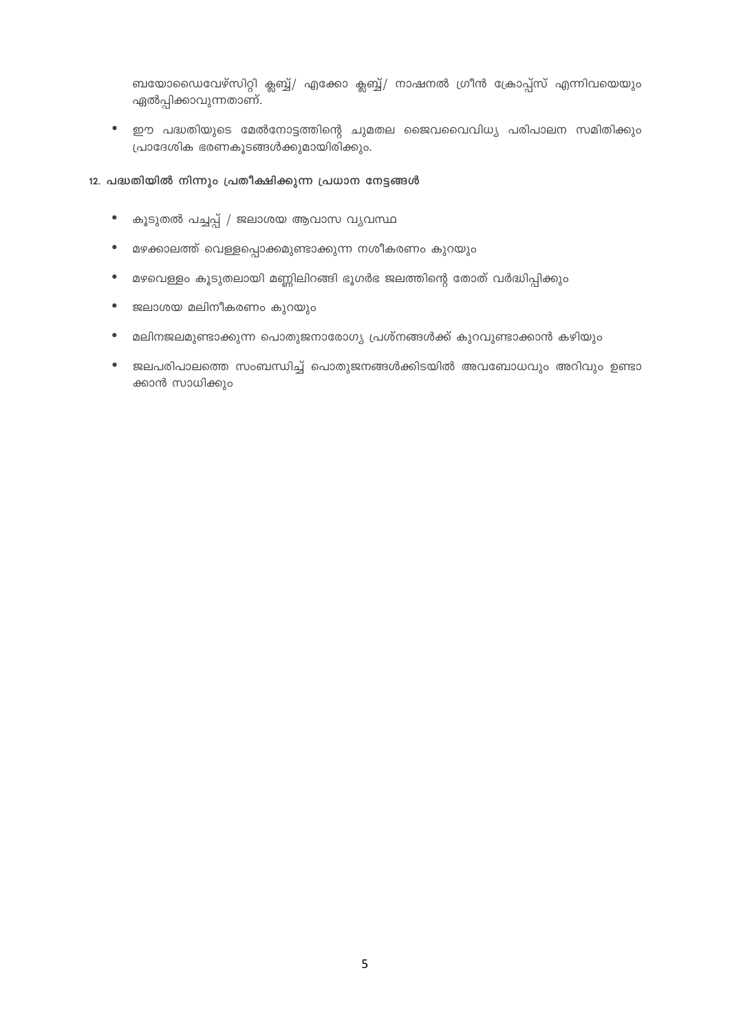ബയോഡൈവേഴ്സിറ്റി ക്ലബ്ബ്/ എക്കോ ക്ലബ്ബ്/ നാഷനൽ ഗ്രീൻ ക്രോപ്പ്സ് എന്നിവയെയും ഏൽപ്പിക്കാവുന്നതാണ്.

• ഈ പദ്ധതിയുടെ മേൽനോട്ടത്തിന്റെ ചുമതല ജൈവവൈവിധ്യ പരിപാലന സമിതിക്കും പ്രാദേശിക ഭരണകൂടങ്ങൾക്കുമായിരിക്കും.

#### 12. പദ്ധതിയിൽ നിന്നും പ്രതീക്ഷിക്കുന്ന പ്രധാന നേട്ടങ്ങൾ

- കൂടുതൽ പച്ചപ്പ് / ജലാശയ ആവാസ വ്യവസ്ഥ  $\bullet$
- മഴക്കാലത്ത് വെള്ളപ്പൊക്കമുണ്ടാക്കുന്ന നശീകരണം കുറയും
- മഴവെള്ളം കൂടുതലായി മണ്ണിലിറങ്ങി ഭൂഗർഭ ജലത്തിന്റെ തോത് വർദ്ധിപ്പിക്കും  $\bullet$
- $\bullet$ ജലാശയ മലിനീകരണം കുറയും
- മലിനജലമുണ്ടാക്കുന്ന പൊതുജനാരോഗ്യ പ്രശ്നങ്ങൾക്ക് കുറവുണ്ടാക്കാൻ കഴിയും  $\bullet$
- ജലപരിപാലത്തെ സംബന്ധിച്ച് പൊതുജനങ്ങൾക്കിടയിൽ അവബോധവും അറിവും ഉണ്ടാ  $\bullet$ ക്കാൻ സാധിക്കും